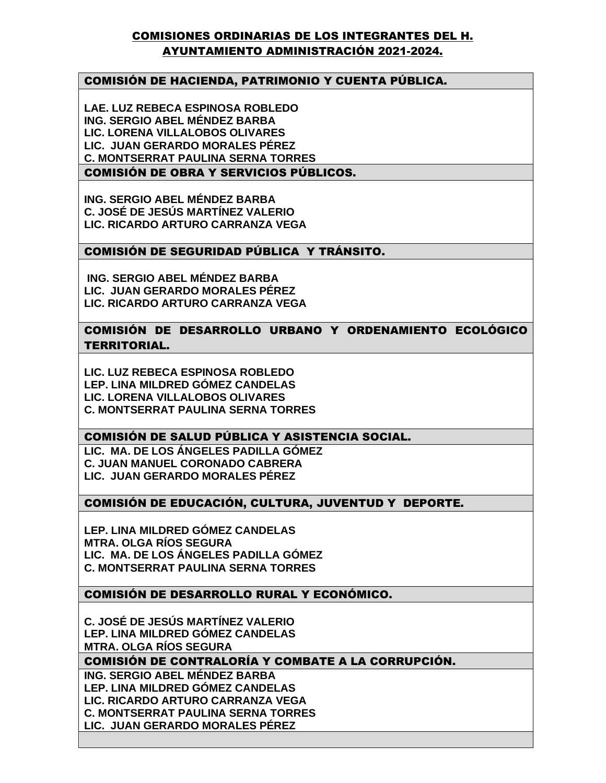# COMISIONES ORDINARIAS DE LOS INTEGRANTES DEL H. AYUNTAMIENTO ADMINISTRACIÓN 2021-2024.

# COMISIÓN DE HACIENDA, PATRIMONIO Y CUENTA PÚBLICA.

**LAE. LUZ REBECA ESPINOSA ROBLEDO ING. SERGIO ABEL MÉNDEZ BARBA LIC. LORENA VILLALOBOS OLIVARES LIC. JUAN GERARDO MORALES PÉREZ C. MONTSERRAT PAULINA SERNA TORRES**

### COMISIÓN DE OBRA Y SERVICIOS PÚBLICOS.

**ING. SERGIO ABEL MÉNDEZ BARBA C. JOSÉ DE JESÚS MARTÍNEZ VALERIO LIC. RICARDO ARTURO CARRANZA VEGA**

# COMISIÓN DE SEGURIDAD PÚBLICA Y TRÁNSITO.

**ING. SERGIO ABEL MÉNDEZ BARBA LIC. JUAN GERARDO MORALES PÉREZ LIC. RICARDO ARTURO CARRANZA VEGA**

COMISIÓN DE DESARROLLO URBANO Y ORDENAMIENTO ECOLÓGICO TERRITORIAL.

**LIC. LUZ REBECA ESPINOSA ROBLEDO LEP. LINA MILDRED GÓMEZ CANDELAS LIC. LORENA VILLALOBOS OLIVARES C. MONTSERRAT PAULINA SERNA TORRES**

# COMISIÓN DE SALUD PÚBLICA Y ASISTENCIA SOCIAL.

**LIC. MA. DE LOS ÁNGELES PADILLA GÓMEZ C. JUAN MANUEL CORONADO CABRERA LIC. JUAN GERARDO MORALES PÉREZ**

# COMISIÓN DE EDUCACIÓN, CULTURA, JUVENTUD Y DEPORTE.

**LEP. LINA MILDRED GÓMEZ CANDELAS MTRA. OLGA RÍOS SEGURA LIC. MA. DE LOS ÁNGELES PADILLA GÓMEZ C. MONTSERRAT PAULINA SERNA TORRES**

#### COMISIÓN DE DESARROLLO RURAL Y ECONÓMICO.

**C. JOSÉ DE JESÚS MARTÍNEZ VALERIO LEP. LINA MILDRED GÓMEZ CANDELAS MTRA. OLGA RÍOS SEGURA**

#### COMISIÓN DE CONTRALORÍA Y COMBATE A LA CORRUPCIÓN.

**ING. SERGIO ABEL MÉNDEZ BARBA LEP. LINA MILDRED GÓMEZ CANDELAS LIC. RICARDO ARTURO CARRANZA VEGA C. MONTSERRAT PAULINA SERNA TORRES LIC. JUAN GERARDO MORALES PÉREZ**